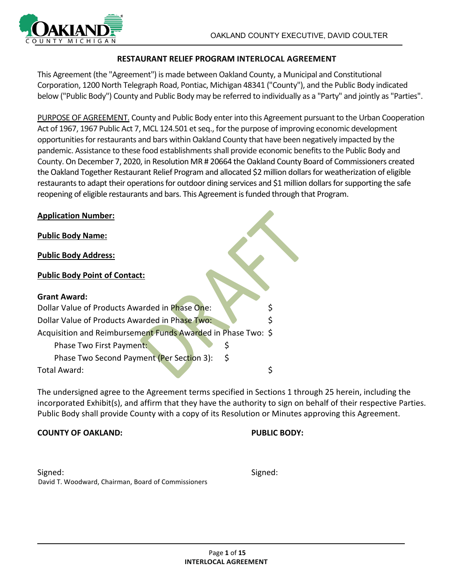

#### **RESTAURANT RELIEF PROGRAM INTERLOCAL AGREEMENT**

This Agreement (the "Agreement") is made between Oakland County, a Municipal and Constitutional Corporation, 1200 North Telegraph Road, Pontiac, Michigan 48341 ("County"), and the Public Body indicated below ("Public Body") County and Public Body may be referred to individually as a "Party" and jointly as "Parties".

PURPOSE OF AGREEMENT. County and Public Body enter into this Agreement pursuant to the Urban Cooperation Act of 1967, 1967 Public Act 7, MCL 124.501 et seq., for the purpose of improving economic development opportunities for restaurants and bars within Oakland County that have been negatively impacted by the pandemic. Assistance to these food establishments shall provide economic benefits to the Public Body and County. On December 7, 2020, in Resolution MR # 20664 the Oakland County Board of Commissioners created the Oakland Together Restaurant Relief Program and allocated \$2 million dollars for weatherization of eligible restaurants to adapt their operations for outdoor dining services and \$1 million dollars for supporting the safe reopening of eligible restaurants and bars. This Agreement is funded through that Program.

| <b>Application Number:</b>                                   |    |
|--------------------------------------------------------------|----|
| <b>Public Body Name:</b>                                     |    |
| <b>Public Body Address:</b>                                  |    |
| <b>Public Body Point of Contact:</b>                         |    |
| <b>Grant Award:</b>                                          |    |
| Dollar Value of Products Awarded in Phase One:               |    |
| Dollar Value of Products Awarded in Phase Two:               | \$ |
| Acquisition and Reimbursement Funds Awarded in Phase Two: \$ |    |
| S<br>Phase Two First Payment:                                |    |
| \$<br>Phase Two Second Payment (Per Section 3):              |    |
| Total Award:                                                 | \$ |

The undersigned agree to the Agreement terms specified in Sections 1 through 25 herein, including the incorporated Exhibit(s), and affirm that they have the authority to sign on behalf of their respective Parties. Public Body shall provide County with a copy of its Resolution or Minutes approving this Agreement.

#### **COUNTY OF OAKLAND: PUBLIC BODY:**

Signed: Signed: David T. Woodward, Chairman, Board of Commissioners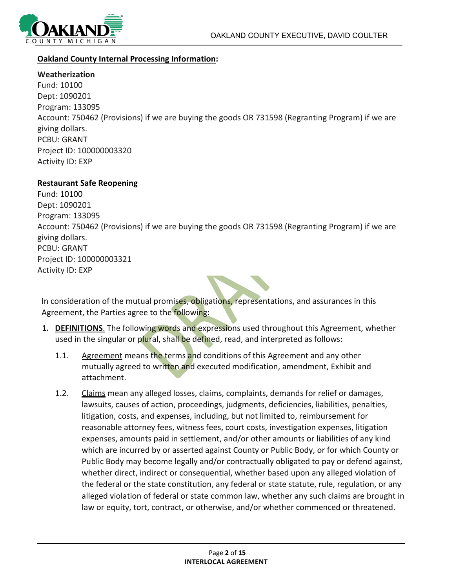

#### **Oakland County Internal Processing Information:**

**Weatherization** Fund: 10100 Dept: 1090201 Program: 133095 Account: 750462 (Provisions) if we are buying the goods OR 731598 (Regranting Program) if we are giving dollars. PCBU: GRANT Project ID: 100000003320 Activity ID: EXP

#### **Restaurant Safe Reopening**

Fund: 10100 Dept: 1090201 Program: 133095 Account: 750462 (Provisions) if we are buying the goods OR 731598 (Regranting Program) if we are giving dollars. PCBU: GRANT Project ID: 100000003321 Activity ID: EXP

In consideration of the mutual promises, obligations, representations, and assurances in this Agreement, the Parties agree to the following:

- **1. DEFINITIONS**. The following words and expressions used throughout this Agreement, whether used in the singular or plural, shall be defined, read, and interpreted as follows:
	- 1.1. Agreement means the terms and conditions of this Agreement and any other mutually agreed to written and executed modification, amendment, Exhibit and attachment.
	- 1.2. Claims mean any alleged losses, claims, complaints, demands for relief or damages, lawsuits, causes of action, proceedings, judgments, deficiencies, liabilities, penalties, litigation, costs, and expenses, including, but not limited to, reimbursement for reasonable attorney fees, witness fees, court costs, investigation expenses, litigation expenses, amounts paid in settlement, and/or other amounts or liabilities of any kind which are incurred by or asserted against County or Public Body, or for which County or Public Body may become legally and/or contractually obligated to pay or defend against, whether direct, indirect or consequential, whether based upon any alleged violation of the federal or the state constitution, any federal or state statute, rule, regulation, or any alleged violation of federal or state common law, whether any such claims are brought in law or equity, tort, contract, or otherwise, and/or whether commenced or threatened.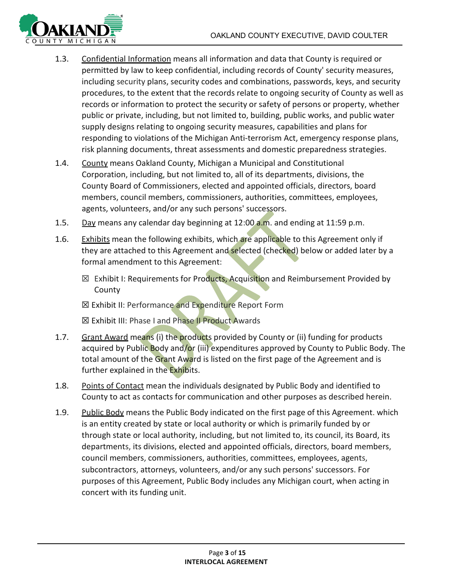

- 1.3. Confidential Information means all information and data that County is required or permitted by law to keep confidential, including records of County' security measures, including security plans, security codes and combinations, passwords, keys, and security procedures, to the extent that the records relate to ongoing security of County as well as records or information to protect the security or safety of persons or property, whether public or private, including, but not limited to, building, public works, and public water supply designs relating to ongoing security measures, capabilities and plans for responding to violations of the Michigan Anti-terrorism Act, emergency response plans, risk planning documents, threat assessments and domestic preparedness strategies.
- 1.4. County means Oakland County, Michigan a Municipal and Constitutional Corporation, including, but not limited to, all of its departments, divisions, the County Board of Commissioners, elected and appointed officials, directors, board members, council members, commissioners, authorities, committees, employees, agents, volunteers, and/or any such persons' successors.
- 1.5. Day means any calendar day beginning at  $12:00$  a.m. and ending at  $11:59$  p.m.
- 1.6. Exhibits mean the following exhibits, which are applicable to this Agreement only if they are attached to this Agreement and selected (checked) below or added later by a formal amendment to this Agreement:
	- ⊠ Exhibit I: Requirements for Products, Acquisition and Reimbursement Provided by County

**⊠ Exhibit II: Performance and Expenditure Report Form** 

☒ Exhibit III: Phase I and Phase II Product Awards

- 1.7. Grant Award means (i) the products provided by County or (ii) funding for products acquired by Public Body and/or (iii) expenditures approved by County to Public Body. The total amount of the Grant Award is listed on the first page of the Agreement and is further explained in the Exhibits.
- 1.8. Points of Contact mean the individuals designated by Public Body and identified to County to act as contacts for communication and other purposes as described herein.
- 1.9. Public Body means the Public Body indicated on the first page of this Agreement. which is an entity created by state or local authority or which is primarily funded by or through state or local authority, including, but not limited to, its council, its Board, its departments, its divisions, elected and appointed officials, directors, board members, council members, commissioners, authorities, committees, employees, agents, subcontractors, attorneys, volunteers, and/or any such persons' successors. For purposes of this Agreement, Public Body includes any Michigan court, when acting in concert with its funding unit.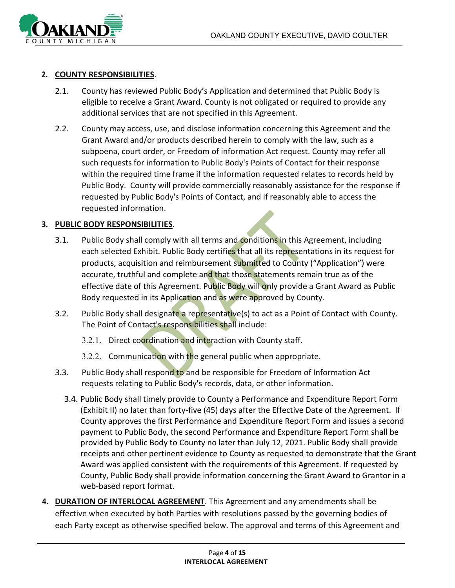

#### **2. COUNTY RESPONSIBILITIES**.

- 2.1. County has reviewed Public Body's Application and determined that Public Body is eligible to receive a Grant Award. County is not obligated or required to provide any additional services that are not specified in this Agreement.
- 2.2. County may access, use, and disclose information concerning this Agreement and the Grant Award and/or products described herein to comply with the law, such as a subpoena, court order, or Freedom of information Act request. County may refer all such requests for information to Public Body's Points of Contact for their response within the required time frame if the information requested relates to records held by Public Body. County will provide commercially reasonably assistance for the response if requested by Public Body's Points of Contact, and if reasonably able to access the requested information.

#### **3. PUBLIC BODY RESPONSIBILITIES**.

- 3.1. Public Body shall comply with all terms and conditions in this Agreement, including each selected Exhibit. Public Body certifies that all its representations in its request for products, acquisition and reimbursement submitted to County ("Application") were accurate, truthful and complete and that those statements remain true as of the effective date of this Agreement. Public Body will only provide a Grant Award as Public Body requested in its Application and as were approved by County.
- 3.2. Public Body shall designate a representative(s) to act as a Point of Contact with County. The Point of Contact's responsibilities shall include:
	- 3.2.1. Direct coordination and interaction with County staff.
	- 3.2.2. Communication with the general public when appropriate.
- 3.3. Public Body shall respond to and be responsible for Freedom of Information Act requests relating to Public Body's records, data, or other information.
	- 3.4. Public Body shall timely provide to County a Performance and Expenditure Report Form (Exhibit II) no later than forty-five (45) days after the Effective Date of the Agreement. If County approves the first Performance and Expenditure Report Form and issues a second payment to Public Body, the second Performance and Expenditure Report Form shall be provided by Public Body to County no later than July 12, 2021. Public Body shall provide receipts and other pertinent evidence to County as requested to demonstrate that the Grant Award was applied consistent with the requirements of this Agreement. If requested by County, Public Body shall provide information concerning the Grant Award to Grantor in a web-based report format.
- **4. DURATION OF INTERLOCAL AGREEMENT**. This Agreement and any amendments shall be effective when executed by both Parties with resolutions passed by the governing bodies of each Party except as otherwise specified below. The approval and terms of this Agreement and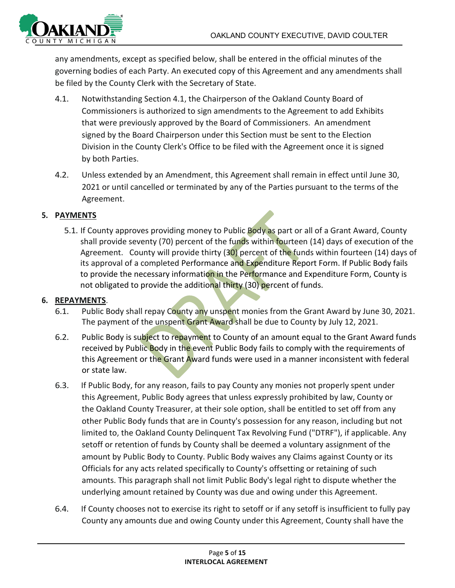

any amendments, except as specified below, shall be entered in the official minutes of the governing bodies of each Party. An executed copy of this Agreement and any amendments shall be filed by the County Clerk with the Secretary of State.

- 4.1. Notwithstanding Section 4.1, the Chairperson of the Oakland County Board of Commissioners is authorized to sign amendments to the Agreement to add Exhibits that were previously approved by the Board of Commissioners. An amendment signed by the Board Chairperson under this Section must be sent to the Election Division in the County Clerk's Office to be filed with the Agreement once it is signed by both Parties.
- 4.2. Unless extended by an Amendment, this Agreement shall remain in effect until June 30, 2021 or until cancelled or terminated by any of the Parties pursuant to the terms of the Agreement.

## **5. PAYMENTS**

5.1. If County approves providing money to Public Body as part or all of a Grant Award, County shall provide seventy (70) percent of the funds within fourteen (14) days of execution of the Agreement. County will provide thirty (30) percent of the funds within fourteen (14) days of its approval of a completed Performance and Expenditure Report Form. If Public Body fails to provide the necessary information in the Performance and Expenditure Form, County is not obligated to provide the additional thirty (30) percent of funds.

#### **6. REPAYMENTS**.

- 6.1. Public Body shall repay County any unspent monies from the Grant Award by June 30, 2021. The payment of the unspent Grant Award shall be due to County by July 12, 2021.
- 6.2. Public Body is subject to repayment to County of an amount equal to the Grant Award funds received by Public Body in the event Public Body fails to comply with the requirements of this Agreement or the Grant Award funds were used in a manner inconsistent with federal or state law.
- 6.3. If Public Body, for any reason, fails to pay County any monies not properly spent under this Agreement, Public Body agrees that unless expressly prohibited by law, County or the Oakland County Treasurer, at their sole option, shall be entitled to set off from any other Public Body funds that are in County's possession for any reason, including but not limited to, the Oakland County Delinquent Tax Revolving Fund ("DTRF"), if applicable. Any setoff or retention of funds by County shall be deemed a voluntary assignment of the amount by Public Body to County. Public Body waives any Claims against County or its Officials for any acts related specifically to County's offsetting or retaining of such amounts. This paragraph shall not limit Public Body's legal right to dispute whether the underlying amount retained by County was due and owing under this Agreement.
- 6.4. If County chooses not to exercise its right to setoff or if any setoff is insufficient to fully pay County any amounts due and owing County under this Agreement, County shall have the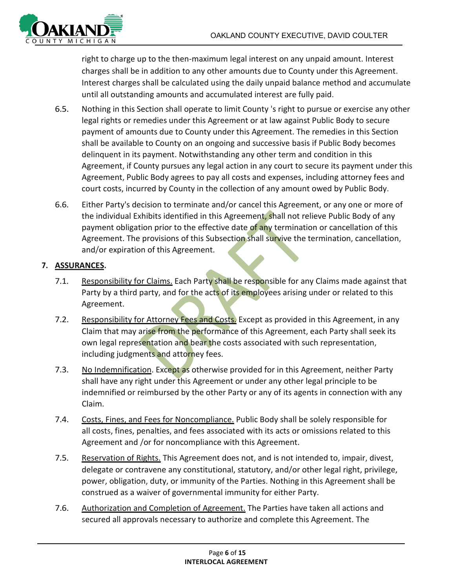

right to charge up to the then-maximum legal interest on any unpaid amount. Interest charges shall be in addition to any other amounts due to County under this Agreement. Interest charges shall be calculated using the daily unpaid balance method and accumulate until all outstanding amounts and accumulated interest are fully paid.

- 6.5. Nothing in this Section shall operate to limit County 's right to pursue or exercise any other legal rights or remedies under this Agreement or at law against Public Body to secure payment of amounts due to County under this Agreement. The remedies in this Section shall be available to County on an ongoing and successive basis if Public Body becomes delinquent in its payment. Notwithstanding any other term and condition in this Agreement, if County pursues any legal action in any court to secure its payment under this Agreement, Public Body agrees to pay all costs and expenses, including attorney fees and court costs, incurred by County in the collection of any amount owed by Public Body.
- 6.6. Either Party's decision to terminate and/or cancel this Agreement, or any one or more of the individual Exhibits identified in this Agreement, shall not relieve Public Body of any payment obligation prior to the effective date of any termination or cancellation of this Agreement. The provisions of this Subsection shall survive the termination, cancellation, and/or expiration of this Agreement.

## **7. ASSURANCES.**

- 7.1. Responsibility for Claims. Each Party shall be responsible for any Claims made against that Party by a third party, and for the acts of its employees arising under or related to this Agreement.
- 7.2. Responsibility for Attorney Fees and Costs. Except as provided in this Agreement, in any Claim that may arise from the performance of this Agreement, each Party shall seek its own legal representation and bear the costs associated with such representation, including judgments and attorney fees.
- 7.3. No Indemnification. Except as otherwise provided for in this Agreement, neither Party shall have any right under this Agreement or under any other legal principle to be indemnified or reimbursed by the other Party or any of its agents in connection with any Claim.
- 7.4. Costs, Fines, and Fees for Noncompliance. Public Body shall be solely responsible for all costs, fines, penalties, and fees associated with its acts or omissions related to this Agreement and /or for noncompliance with this Agreement.
- 7.5. Reservation of Rights. This Agreement does not, and is not intended to, impair, divest, delegate or contravene any constitutional, statutory, and/or other legal right, privilege, power, obligation, duty, or immunity of the Parties. Nothing in this Agreement shall be construed as a waiver of governmental immunity for either Party.
- 7.6. Authorization and Completion of Agreement. The Parties have taken all actions and secured all approvals necessary to authorize and complete this Agreement. The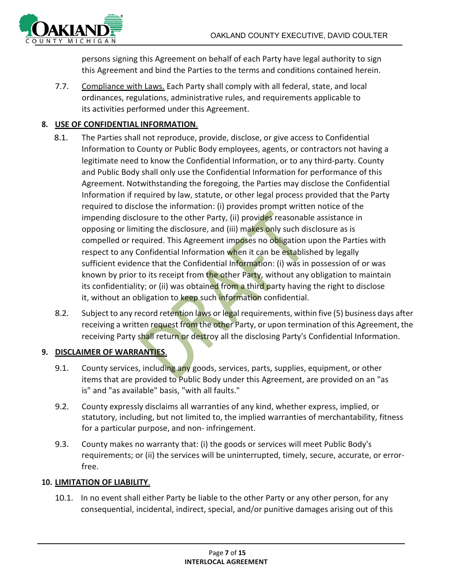

persons signing this Agreement on behalf of each Party have legal authority to sign this Agreement and bind the Parties to the terms and conditions contained herein.

7.7. Compliance with Laws. Each Party shall comply with all federal, state, and local ordinances, regulations, administrative rules, and requirements applicable to its activities performed under this Agreement.

# **8. USE OF CONFIDENTIAL INFORMATION**.

- 8.1. The Parties shall not reproduce, provide, disclose, or give access to Confidential Information to County or Public Body employees, agents, or contractors not having a legitimate need to know the Confidential Information, or to any third-party. County and Public Body shall only use the Confidential Information for performance of this Agreement. Notwithstanding the foregoing, the Parties may disclose the Confidential Information if required by law, statute, or other legal process provided that the Party required to disclose the information: (i) provides prompt written notice of the impending disclosure to the other Party, (ii) provides reasonable assistance in opposing or limiting the disclosure, and (iii) makes only such disclosure as is compelled or required. This Agreement imposes no obligation upon the Parties with respect to any Confidential Information when it can be established by legally sufficient evidence that the Confidential Information: (i) was in possession of or was known by prior to its receipt from the other Party, without any obligation to maintain its confidentiality; or (ii) was obtained from a third party having the right to disclose it, without an obligation to keep such information confidential.
- 8.2. Subject to any record retention laws or legal requirements, within five (5) business days after receiving a written request from the other Party, or upon termination of this Agreement, the receiving Party shall return or destroy all the disclosing Party's Confidential Information.

## **9. DISCLAIMER OF WARRANTIES**.

- 9.1. County services, including any goods, services, parts, supplies, equipment, or other items that are provided to Public Body under this Agreement, are provided on an "as is" and "as available" basis, "with all faults."
- 9.2. County expressly disclaims all warranties of any kind, whether express, implied, or statutory, including, but not limited to, the implied warranties of merchantability, fitness for a particular purpose, and non- infringement.
- 9.3. County makes no warranty that: (i) the goods or services will meet Public Body's requirements; or (ii) the services will be uninterrupted, timely, secure, accurate, or errorfree.

## **10. LIMITATION OF LIABILITY**.

10.1. In no event shall either Party be liable to the other Party or any other person, for any consequential, incidental, indirect, special, and/or punitive damages arising out of this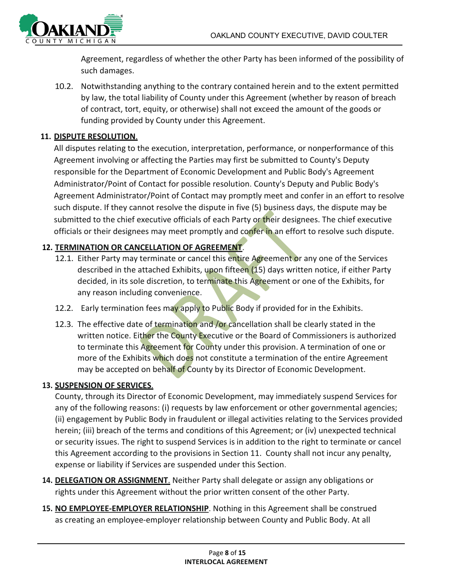

Agreement, regardless of whether the other Party has been informed of the possibility of such damages.

10.2. Notwithstanding anything to the contrary contained herein and to the extent permitted by law, the total liability of County under this Agreement (whether by reason of breach of contract, tort, equity, or otherwise) shall not exceed the amount of the goods or funding provided by County under this Agreement.

## **11. DISPUTE RESOLUTION**.

All disputes relating to the execution, interpretation, performance, or nonperformance of this Agreement involving or affecting the Parties may first be submitted to County's Deputy responsible for the Department of Economic Development and Public Body's Agreement Administrator/Point of Contact for possible resolution. County's Deputy and Public Body's Agreement Administrator/Point of Contact may promptly meet and confer in an effort to resolve such dispute. If they cannot resolve the dispute in five (5) business days, the dispute may be submitted to the chief executive officials of each Party or their designees. The chief executive officials or their designees may meet promptly and confer in an effort to resolve such dispute.

## **12. TERMINATION OR CANCELLATION OF AGREEMENT**.

- 12.1. Either Party may terminate or cancel this entire Agreement or any one of the Services described in the attached Exhibits, upon fifteen (15) days written notice, if either Party decided, in its sole discretion, to terminate this Agreement or one of the Exhibits, for any reason including convenience.
- 12.2. Early termination fees may apply to Public Body if provided for in the Exhibits.
- 12.3. The effective date of termination and /or cancellation shall be clearly stated in the written notice. Either the County Executive or the Board of Commissioners is authorized to terminate this Agreement for County under this provision. A termination of one or more of the Exhibits which does not constitute a termination of the entire Agreement may be accepted on behalf of County by its Director of Economic Development.

#### **13. SUSPENSION OF SERVICES**.

County, through its Director of Economic Development, may immediately suspend Services for any of the following reasons: (i) requests by law enforcement or other governmental agencies; (ii) engagement by Public Body in fraudulent or illegal activities relating to the Services provided herein; (iii) breach of the terms and conditions of this Agreement; or (iv) unexpected technical or security issues. The right to suspend Services is in addition to the right to terminate or cancel this Agreement according to the provisions in Section 11. County shall not incur any penalty, expense or liability if Services are suspended under this Section.

- **14. DELEGATION OR ASSIGNMENT**. Neither Party shall delegate or assign any obligations or rights under this Agreement without the prior written consent of the other Party.
- **15. NO EMPLOYEE-EMPLOYER RELATIONSHIP**. Nothing in this Agreement shall be construed as creating an employee-employer relationship between County and Public Body. At all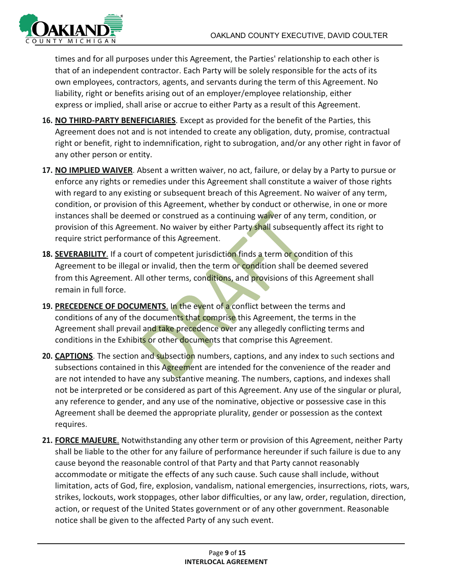

times and for all purposes under this Agreement, the Parties' relationship to each other is that of an independent contractor. Each Party will be solely responsible for the acts of its own employees, contractors, agents, and servants during the term of this Agreement. No liability, right or benefits arising out of an employer/employee relationship, either express or implied, shall arise or accrue to either Party as a result of this Agreement.

- **16. NO THIRD-PARTY BENEFICIARIES**. Except as provided for the benefit of the Parties, this Agreement does not and is not intended to create any obligation, duty, promise, contractual right or benefit, right to indemnification, right to subrogation, and/or any other right in favor of any other person or entity.
- **17. NO IMPLIED WAIVER**. Absent a written waiver, no act, failure, or delay by a Party to pursue or enforce any rights or remedies under this Agreement shall constitute a waiver of those rights with regard to any existing or subsequent breach of this Agreement. No waiver of any term, condition, or provision of this Agreement, whether by conduct or otherwise, in one or more instances shall be deemed or construed as a continuing waiver of any term, condition, or provision of this Agreement. No waiver by either Party shall subsequently affect its right to require strict performance of this Agreement.
- **18. SEVERABILITY**. If a court of competent jurisdiction finds a term or condition of this Agreement to be illegal or invalid, then the term or condition shall be deemed severed from this Agreement. All other terms, conditions, and provisions of this Agreement shall remain in full force.
- **19. PRECEDENCE OF DOCUMENTS**. In the event of a conflict between the terms and conditions of any of the documents that comprise this Agreement, the terms in the Agreement shall prevail and take precedence over any allegedly conflicting terms and conditions in the Exhibits or other documents that comprise this Agreement.
- **20. CAPTIONS**. The section and subsection numbers, captions, and any index to such sections and subsections contained in this Agreement are intended for the convenience of the reader and are not intended to have any substantive meaning. The numbers, captions, and indexes shall not be interpreted or be considered as part of this Agreement. Any use of the singular or plural, any reference to gender, and any use of the nominative, objective or possessive case in this Agreement shall be deemed the appropriate plurality, gender or possession as the context requires.
- **21. FORCE MAJEURE**. Notwithstanding any other term or provision of this Agreement, neither Party shall be liable to the other for any failure of performance hereunder if such failure is due to any cause beyond the reasonable control of that Party and that Party cannot reasonably accommodate or mitigate the effects of any such cause. Such cause shall include, without limitation, acts of God, fire, explosion, vandalism, national emergencies, insurrections, riots, wars, strikes, lockouts, work stoppages, other labor difficulties, or any law, order, regulation, direction, action, or request of the United States government or of any other government. Reasonable notice shall be given to the affected Party of any such event.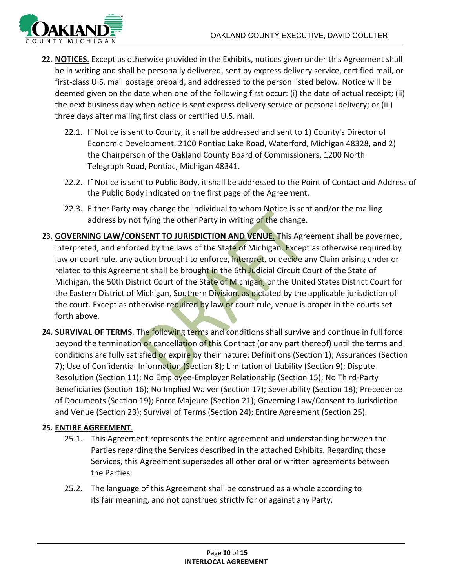

- **22. NOTICES**. Except as otherwise provided in the Exhibits, notices given under this Agreement shall be in writing and shall be personally delivered, sent by express delivery service, certified mail, or first-class U.S. mail postage prepaid, and addressed to the person listed below. Notice will be deemed given on the date when one of the following first occur: (i) the date of actual receipt; (ii) the next business day when notice is sent express delivery service or personal delivery; or (iii) three days after mailing first class or certified U.S. mail.
	- 22.1. If Notice is sent to County, it shall be addressed and sent to 1) County's Director of Economic Development, 2100 Pontiac Lake Road, Waterford, Michigan 48328, and 2) the Chairperson of the Oakland County Board of Commissioners, 1200 North Telegraph Road, Pontiac, Michigan 48341.
	- 22.2. If Notice is sent to Public Body, it shall be addressed to the Point of Contact and Address of the Public Body indicated on the first page of the Agreement.
	- 22.3. Either Party may change the individual to whom Notice is sent and/or the mailing address by notifying the other Party in writing of the change.
- **23. GOVERNING LAW/CONSENT TO JURISDICTION AND VENUE**. This Agreement shall be governed, interpreted, and enforced by the laws of the State of Michigan. Except as otherwise required by law or court rule, any action brought to enforce, interpret, or decide any Claim arising under or related to this Agreement shall be brought in the 6th Judicial Circuit Court of the State of Michigan, the 50th District Court of the State of Michigan, or the United States District Court for the Eastern District of Michigan, Southern Division, as dictated by the applicable jurisdiction of the court. Except as otherwise required by law or court rule, venue is proper in the courts set forth above.
- 24. **SURVIVAL OF TERMS**. The following terms and conditions shall survive and continue in full force beyond the termination or cancellation of this Contract (or any part thereof) until the terms and conditions are fully satisfied or expire by their nature: Definitions (Section 1); Assurances (Section 7); Use of Confidential Information (Section 8); Limitation of Liability (Section 9); Dispute Resolution (Section 11); No Employee-Employer Relationship (Section 15); No Third-Party Beneficiaries (Section 16); No Implied Waiver (Section 17); Severability (Section 18); Precedence of Documents (Section 19); Force Majeure (Section 21); Governing Law/Consent to Jurisdiction and Venue (Section 23); Survival of Terms (Section 24); Entire Agreement (Section 25).

#### **25. ENTIRE AGREEMENT**.

- 25.1. This Agreement represents the entire agreement and understanding between the Parties regarding the Services described in the attached Exhibits. Regarding those Services, this Agreement supersedes all other oral or written agreements between the Parties.
- 25.2. The language of this Agreement shall be construed as a whole according to its fair meaning, and not construed strictly for or against any Party.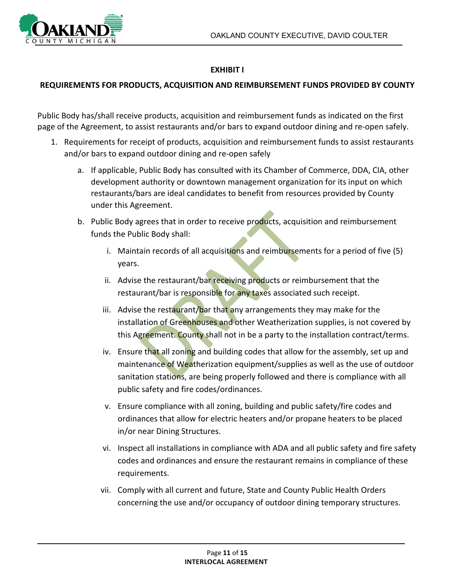

## **EXHIBIT I**

#### **REQUIREMENTS FOR PRODUCTS, ACQUISITION AND REIMBURSEMENT FUNDS PROVIDED BY COUNTY**

Public Body has/shall receive products, acquisition and reimbursement funds as indicated on the first page of the Agreement, to assist restaurants and/or bars to expand outdoor dining and re-open safely.

- 1. Requirements for receipt of products, acquisition and reimbursement funds to assist restaurants and/or bars to expand outdoor dining and re-open safely
	- a. If applicable, Public Body has consulted with its Chamber of Commerce, DDA, CIA, other development authority or downtown management organization for its input on which restaurants/bars are ideal candidates to benefit from resources provided by County under this Agreement.
	- b. Public Body agrees that in order to receive products, acquisition and reimbursement funds the Public Body shall:
		- i. Maintain records of all acquisitions and reimbursements for a period of five (5) years.
		- ii. Advise the restaurant/bar receiving products or reimbursement that the restaurant/bar is responsible for any taxes associated such receipt.
		- iii. Advise the restaurant/bar that any arrangements they may make for the installation of Greenhouses and other Weatherization supplies, is not covered by this Agreement. County shall not in be a party to the installation contract/terms.
		- iv. Ensure that all zoning and building codes that allow for the assembly, set up and maintenance of Weatherization equipment/supplies as well as the use of outdoor sanitation stations, are being properly followed and there is compliance with all public safety and fire codes/ordinances.
		- v. Ensure compliance with all zoning, building and public safety/fire codes and ordinances that allow for electric heaters and/or propane heaters to be placed in/or near Dining Structures.
		- vi. Inspect all installations in compliance with ADA and all public safety and fire safety codes and ordinances and ensure the restaurant remains in compliance of these requirements.
		- vii. Comply with all current and future, State and County Public Health Orders concerning the use and/or occupancy of outdoor dining temporary structures.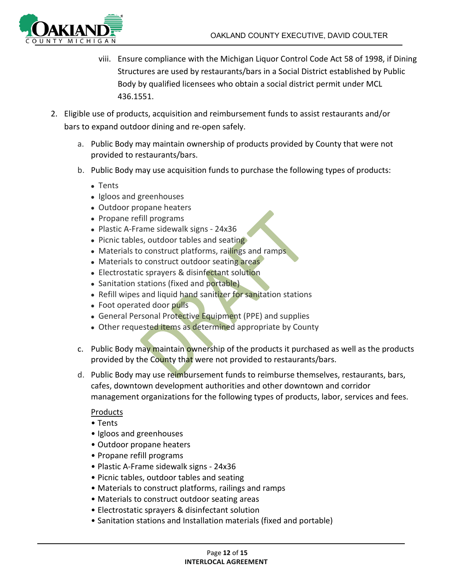

- viii. Ensure compliance with the Michigan Liquor Control Code Act 58 of 1998, if Dining Structures are used by restaurants/bars in a Social District established by Public Body by qualified licensees who obtain a social district permit under MCL 436.1551.
- 2. Eligible use of products, acquisition and reimbursement funds to assist restaurants and/or bars to expand outdoor dining and re-open safely.
	- a. Public Body may maintain ownership of products provided by County that were not provided to restaurants/bars.
	- b. Public Body may use acquisition funds to purchase the following types of products:
		- Tents
		- Igloos and greenhouses
		- Outdoor propane heaters
		- Propane refill programs
		- Plastic A-Frame sidewalk signs 24x36
		- Picnic tables, outdoor tables and seating
		- Materials to construct platforms, railings and ramps
		- Materials to construct outdoor seating areas
		- Electrostatic sprayers & disinfectant solution
		- Sanitation stations (fixed and portable)
		- Refill wipes and liquid hand sanitizer for sanitation stations
		- Foot operated door pulls
		- General Personal Protective Equipment (PPE) and supplies
		- Other requested items as determined appropriate by County
	- c. Public Body may maintain ownership of the products it purchased as well as the products provided by the County that were not provided to restaurants/bars.
	- d. Public Body may use reimbursement funds to reimburse themselves, restaurants, bars, cafes, downtown development authorities and other downtown and corridor management organizations for the following types of products, labor, services and fees.

#### Products

- Tents
- Igloos and greenhouses
- Outdoor propane heaters
- Propane refill programs
- Plastic A-Frame sidewalk signs 24x36
- Picnic tables, outdoor tables and seating
- Materials to construct platforms, railings and ramps
- Materials to construct outdoor seating areas
- Electrostatic sprayers & disinfectant solution
- Sanitation stations and Installation materials (fixed and portable)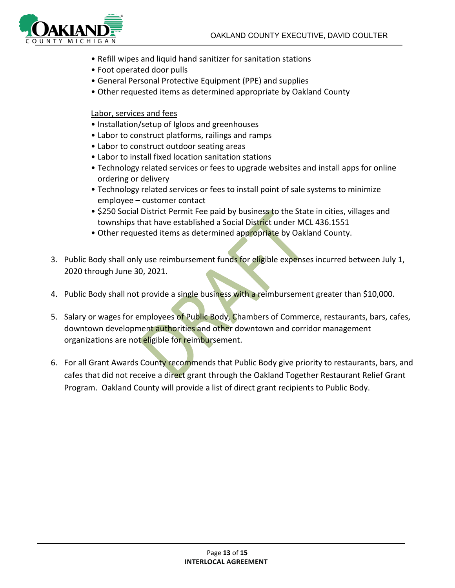

- Refill wipes and liquid hand sanitizer for sanitation stations
- Foot operated door pulls
- General Personal Protective Equipment (PPE) and supplies
- Other requested items as determined appropriate by Oakland County

#### Labor, services and fees

- Installation/setup of Igloos and greenhouses
- Labor to construct platforms, railings and ramps
- Labor to construct outdoor seating areas
- Labor to install fixed location sanitation stations
- Technology related services or fees to upgrade websites and install apps for online ordering or delivery
- Technology related services or fees to install point of sale systems to minimize employee – customer contact
- \$250 Social District Permit Fee paid by business to the State in cities, villages and townships that have established a Social District under MCL 436.1551
- Other requested items as determined appropriate by Oakland County.
- 3. Public Body shall only use reimbursement funds for eligible expenses incurred between July 1, 2020 through June 30, 2021.
- 4. Public Body shall not provide a single business with a reimbursement greater than \$10,000.
- 5. Salary or wages for employees of Public Body, Chambers of Commerce, restaurants, bars, cafes, downtown development authorities and other downtown and corridor management organizations are not eligible for reimbursement.
- 6. For all Grant Awards County recommends that Public Body give priority to restaurants, bars, and cafes that did not receive a direct grant through the Oakland Together Restaurant Relief Grant Program. Oakland County will provide a list of direct grant recipients to Public Body.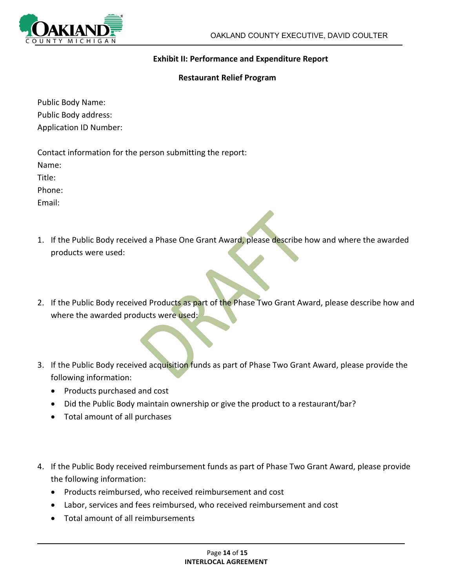

#### **Exhibit II: Performance and Expenditure Report**

#### **Restaurant Relief Program**

Public Body Name: Public Body address: Application ID Number:

Contact information for the person submitting the report: Name: Title: Phone:

Email:

- 1. If the Public Body received a Phase One Grant Award, please describe how and where the awarded products were used:
- 2. If the Public Body received Products as part of the Phase Two Grant Award, please describe how and where the awarded products were used:
- 3. If the Public Body received acquisition funds as part of Phase Two Grant Award, please provide the following information:
	- Products purchased and cost
	- Did the Public Body maintain ownership or give the product to a restaurant/bar?
	- Total amount of all purchases
- 4. If the Public Body received reimbursement funds as part of Phase Two Grant Award, please provide the following information:
	- Products reimbursed, who received reimbursement and cost
	- Labor, services and fees reimbursed, who received reimbursement and cost
	- Total amount of all reimbursements